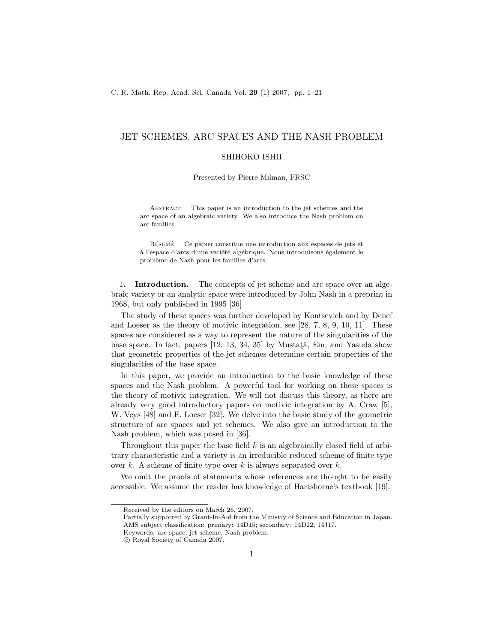# JET SCHEMES, ARC SPACES AND THE NASH PROBLEM

# SHIHOKO ISHII

Presented by Pierre Milman, FRSC

Abstract. This paper is an introduction to the jet schemes and the arc space of an algebraic variety. We also introduce the Nash problem on arc families.

RÉSUMÉ. Ce papier constitue une introduction aux espaces de jets et à l'espace d'arcs d'une variété algébrique. Nous introduisons également le problème de Nash pour les familles d'arcs.

1. **Introduction.** The concepts of jet scheme and arc space over an algebraic variety or an analytic space were introduced by John Nash in a preprint in 1968, but only published in 1995 [36].

The study of these spaces was further developed by Kontsevich and by Denef and Loeser as the theory of motivic integration, see [28, 7, 8, 9, 10, 11]. These spaces are considered as a way to represent the nature of the singularities of the base space. In fact, papers  $[12, 13, 34, 35]$  by Mustata<sup>\*\*</sup>, Ein, and Yasuda show that geometric properties of the jet schemes determine certain properties of the singularities of the base space.

In this paper, we provide an introduction to the basic knowledge of these spaces and the Nash problem. A powerful tool for working on these spaces is the theory of motivic integration. We will not discuss this theory, as there are already very good introductory papers on motivic integration by A. Craw [5], W. Veys [48] and F. Loeser [32]. We delve into the basic study of the geometric structure of arc spaces and jet schemes. We also give an introduction to the Nash problem, which was posed in [36].

Throughout this paper the base field  $k$  is an algebraically closed field of arbitrary characteristic and a variety is an irreducible reduced scheme of finite type over  $k$ . A scheme of finite type over  $k$  is always separated over  $k$ .

We omit the proofs of statements whose references are thought to be easily accessible. We assume the reader has knowledge of Hartshorne's textbook [19].

Received by the editors on March 26, 2007.

Partially supported by Grant-In-Aid from the Ministry of Science and Education in Japan. AMS subject classification: primary: 14D15; secondary: 14D22, 14J17.

Keywords: arc space, jet scheme, Nash problem.

c Royal Society of Canada 2007.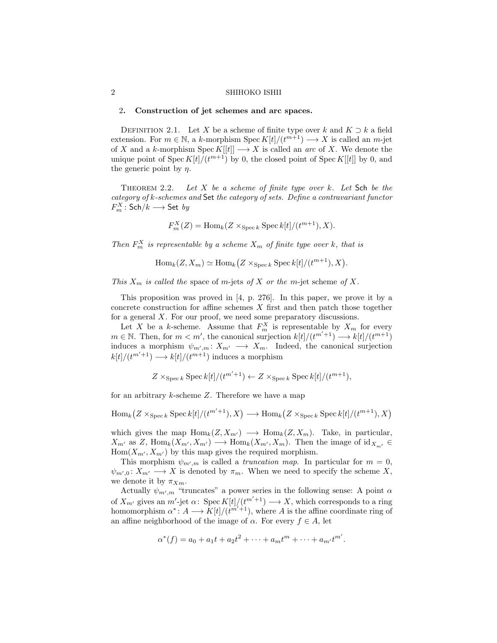### 2. Construction of jet schemes and arc spaces.

DEFINITION 2.1. Let X be a scheme of finite type over k and  $K \supset k$  a field extension. For  $m \in \mathbb{N}$ , a k-morphism  $Spec K[t]/(t^{m+1}) \longrightarrow X$  is called an  $m$ -jet of X and a k-morphism  $\text{Spec } K[[t]] \longrightarrow X$  is called an arc of X. We denote the unique point of Spec  $K[t]/(t^{m+1})$  by 0, the closed point of Spec  $K[[t]]$  by 0, and the generic point by  $\eta$ .

THEOREM 2.2. Let  $X$  be a scheme of finite type over  $k$ . Let  $\mathsf{Sch}$  be the category of k-schemes and Set the category of sets. Define a contravariant functor  $F_m^X\colon \mathsf{Sch}/k\longrightarrow \mathsf{Set}\;by$ 

$$
F_m^X(Z) = \text{Hom}_k(Z \times_{\text{Spec } k} \text{Spec } k[t]/(t^{m+1}), X).
$$

Then  $F_m^X$  is representable by a scheme  $X_m$  of finite type over k, that is

$$
\operatorname{Hom}_k(Z, X_m) \simeq \operatorname{Hom}_k(Z \times_{\operatorname{Spec} k} \operatorname{Spec} k[t]/(t^{m+1}), X).
$$

This  $X_m$  is called the space of m-jets of X or the m-jet scheme of X.

This proposition was proved in [4, p. 276]. In this paper, we prove it by a concrete construction for affine schemes  $X$  first and then patch those together for a general  $X$ . For our proof, we need some preparatory discussions.

Let X be a k-scheme. Assume that  $F_m^X$  is representable by  $X_m$  for every  $m \in \mathbb{N}$ . Then, for  $m < m'$ , the canonical surjection  $k[t]/(t^{m'+1}) \longrightarrow k[t]/(t^{m+1})$ induces a morphism  $\psi_{m',m}: X_{m'} \longrightarrow X_m$ . Indeed, the canonical surjection  $k[t]/(t^{m'+1}) \longrightarrow k[t]/(t^{m+1})$  induces a morphism

$$
Z \times_{\operatorname{Spec} k} \operatorname{Spec} k[t]/(t^{m'+1}) \leftarrow Z \times_{\operatorname{Spec} k} \operatorname{Spec} k[t]/(t^{m+1}),
$$

for an arbitrary  $k$ -scheme  $Z$ . Therefore we have a map

$$
\operatorname{Hom}_k(Z \times_{\operatorname{Spec} k} \operatorname{Spec} k[t]/(t^{m'+1}), X) \longrightarrow \operatorname{Hom}_k(Z \times_{\operatorname{Spec} k} \operatorname{Spec} k[t]/(t^{m+1}), X)
$$

which gives the map  $\text{Hom}_k(Z, X_{m'}) \longrightarrow \text{Hom}_k(Z, X_m)$ . Take, in particular,  $X_{m'}$  as Z, Hom<sub>k</sub> $(X_{m'}, X_{m'}) \longrightarrow$  Hom<sub>k</sub> $(X_{m'}, X_m)$ . Then the image of id<sub>X<sub>m</sub>'  $\in$ </sub>  $Hom(X_{m'}, X_{m'})$  by this map gives the required morphism.

This morphism  $\psi_{m',m}$  is called a *truncation map*. In particular for  $m = 0$ ,  $\psi_{m',0} : X_{m'} \longrightarrow X$  is denoted by  $\pi_m$ . When we need to specify the scheme X, we denote it by  $\pi_{Xm}$ .

Actually  $\psi_{m',m}$  "truncates" a power series in the following sense: A point  $\alpha$ of  $X_{m'}$  gives an m'-jet  $\alpha$ : Spec  $K[t]/(t^{m'+1}) \longrightarrow X$ , which corresponds to a ring homomorphism  $\alpha^*: A \longrightarrow K[t]/(t^{m'+1})$ , where A is the affine coordinate ring of an affine neighborhood of the image of  $\alpha$ . For every  $f \in A$ , let

$$
\alpha^*(f) = a_0 + a_1t + a_2t^2 + \dots + a_mt^m + \dots + a_{m'}t^{m'}.
$$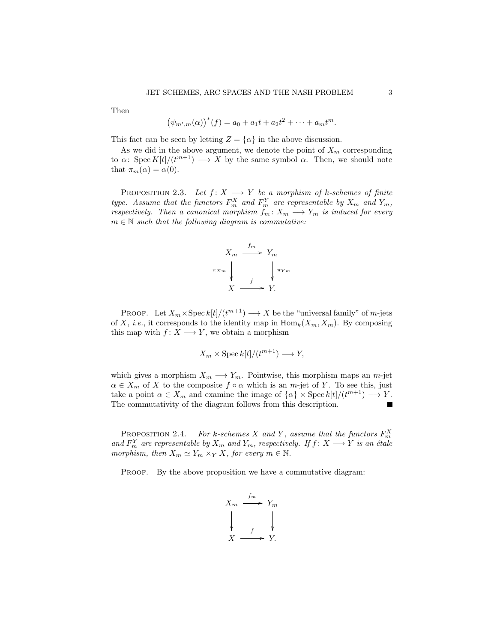Then

$$
(\psi_{m',m}(\alpha))^{*}(f) = a_0 + a_1t + a_2t^2 + \cdots + a_mt^m.
$$

This fact can be seen by letting  $Z = {\alpha}$  in the above discussion.

As we did in the above argument, we denote the point of  $X_m$  corresponding to  $\alpha$ : Spec  $K[t]/(t^{m+1}) \longrightarrow X$  by the same symbol  $\alpha$ . Then, we should note that  $\pi_m(\alpha) = \alpha(0)$ .

PROPOSITION 2.3. Let  $f: X \longrightarrow Y$  be a morphism of k-schemes of finite type. Assume that the functors  $F_m^X$  and  $F_m^Y$  are representable by  $X_m$  and  $Y_m$ , respectively. Then a canonical morphism  $f_m: X_m \longrightarrow Y_m$  is induced for every  $m \in \mathbb{N}$  such that the following diagram is commutative:



PROOF. Let  $X_m \times \operatorname{Spec} k[t]/(t^{m+1}) \longrightarrow X$  be the "universal family" of m-jets of X, *i.e.*, it corresponds to the identity map in  $\text{Hom}_k(X_m, X_m)$ . By composing this map with  $f: X \longrightarrow Y$ , we obtain a morphism

$$
X_m \times \operatorname{Spec} k[t]/(t^{m+1}) \longrightarrow Y,
$$

which gives a morphism  $X_m \longrightarrow Y_m$ . Pointwise, this morphism maps an m-jet  $\alpha \in X_m$  of X to the composite  $f \circ \alpha$  which is an m-jet of Y. To see this, just take a point  $\alpha \in X_m$  and examine the image of  $\{\alpha\} \times \text{Spec } k[t]/(t^{m+1}) \longrightarrow Y$ . The commutativity of the diagram follows from this description.

PROPOSITION 2.4. For k-schemes X and Y, assume that the functors  $F_m^X$ and  $F_m^Y$  are representable by  $X_m$  and  $Y_m$ , respectively. If  $f: X \longrightarrow Y$  is an étale morphism, then  $X_m \simeq Y_m \times_Y X$ , for every  $m \in \mathbb{N}$ .

PROOF. By the above proposition we have a commutative diagram:

$$
X_m \xrightarrow{f_m} Y_m
$$
\n
$$
\downarrow \qquad \qquad \downarrow
$$
\n
$$
X \xrightarrow{f} Y.
$$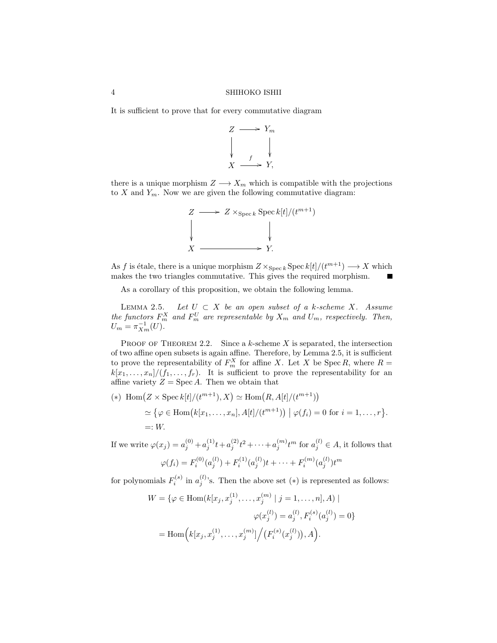It is sufficient to prove that for every commutative diagram



there is a unique morphism  $Z \longrightarrow X_m$  which is compatible with the projections to  $X$  and  $Y_m$ . Now we are given the following commutative diagram:



As f is étale, there is a unique morphism  $Z \times_{\text{Spec } k} \text{Spec } k[t]/(t^{m+1}) \longrightarrow X$  which makes the two triangles commutative. This gives the required morphism.

As a corollary of this proposition, we obtain the following lemma.

LEMMA 2.5. Let  $U \subset X$  be an open subset of a k-scheme X. Assume the functors  $F_m^X$  and  $F_m^U$  are representable by  $X_m$  and  $U_m$ , respectively. Then,  $U_m = \pi_{X_m}^{-1}(U).$ 

PROOF OF THEOREM 2.2. Since a  $k$ -scheme  $X$  is separated, the intersection of two affine open subsets is again affine. Therefore, by Lemma 2.5, it is sufficient to prove the representability of  $F_m^X$  for affine X. Let X be Spec R, where  $R =$  $k[x_1, \ldots, x_n]/(f_1, \ldots, f_r)$ . It is sufficient to prove the representability for an affine variety  $Z = \text{Spec } A$ . Then we obtain that

$$
(*)\text{ Hom}\big(Z \times \text{Spec } k[t]/(t^{m+1}), X\big) \simeq \text{Hom}\big(R, A[t]/(t^{m+1})\big) \\
 \simeq \big\{\varphi \in \text{Hom}\big(k[x_1, \ldots, x_n], A[t]/(t^{m+1})\big) \mid \varphi(f_i) = 0 \text{ for } i = 1, \ldots, r\big\}.
$$
\n
$$
=: W.
$$

If we write  $\varphi(x_j) = a_j^{(0)} + a_j^{(1)}t + a_j^{(2)}t^2 + \cdots + a_j^{(m)}t^m$  for  $a_j^{(l)} \in A$ , it follows that

$$
\varphi(f_i) = F_i^{(0)}(a_j^{(l)}) + F_i^{(1)}(a_j^{(l)})t + \dots + F_i^{(m)}(a_j^{(l)})t^m
$$

for polynomials  $F_i^{(s)}$  in  $a_j^{(l)}$ 's. Then the above set  $(*)$  is represented as follows:

$$
W = \{ \varphi \in \text{Hom}(k[x_j, x_j^{(1)}, \dots, x_j^{(m)} \mid j = 1, \dots, n], A) \mid
$$

$$
\varphi(x_j^{(l)}) = a_j^{(l)}, F_i^{(s)}(a_j^{(l)}) = 0 \}
$$

$$
= \text{Hom}\Big(k[x_j, x_j^{(1)}, \dots, x_j^{(m)}\big] \Big/ \big(F_i^{(s)}(x_j^{(l)})\big), A\Big).
$$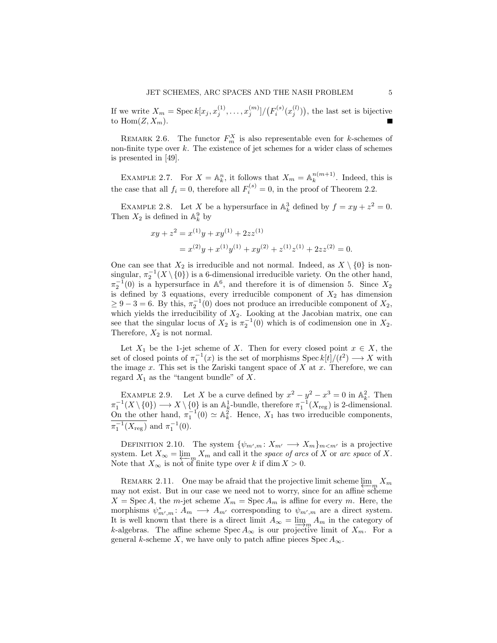If we write  $X_m = \text{Spec } k[x_j, x_j^{(1)}, \dots, x_j^{(m)}]/(F_i^{(s)}(x_j^{(l)}))$ , the last set is bijective to  $\text{Hom}(Z, X_m)$ .

REMARK 2.6. The functor  $F_m^X$  is also representable even for k-schemes of non-finite type over  $k$ . The existence of jet schemes for a wider class of schemes is presented in [49].

EXAMPLE 2.7. For  $X = \mathbb{A}_k^n$ , it follows that  $X_m = \mathbb{A}_k^{n(m+1)}$  $\binom{n(m+1)}{k}$ . Indeed, this is the case that all  $f_i = 0$ , therefore all  $F_i^{(s)} = 0$ , in the proof of Theorem 2.2.

EXAMPLE 2.8. Let X be a hypersurface in  $\mathbb{A}^3_k$  defined by  $f = xy + z^2 = 0$ . Then  $X_2$  is defined in  $\mathbb{A}^9_k$  by

$$
xy + z2 = x(1)y + xy(1) + 2zz(1)
$$
  
=  $x(2)y + x(1)y(1) + xy(2) + z(1)z(1) + 2zz(2) = 0.$ 

One can see that  $X_2$  is irreducible and not normal. Indeed, as  $X \setminus \{0\}$  is nonsingular,  $\pi_2^{-1}(X \setminus \{0\})$  is a 6-dimensional irreducible variety. On the other hand,  $\pi_2^{-1}(0)$  is a hypersurface in  $\mathbb{A}^6$ , and therefore it is of dimension 5. Since  $X_2$ is defined by 3 equations, every irreducible component of  $X_2$  has dimension  $\geq 9-3=6$ . By this,  $\pi_2^{-1}(0)$  does not produce an irreducible component of  $X_2$ , which yields the irreducibility of  $X_2$ . Looking at the Jacobian matrix, one can see that the singular locus of  $X_2$  is  $\pi_2^{-1}(0)$  which is of codimension one in  $X_2$ . Therefore,  $X_2$  is not normal.

Let  $X_1$  be the 1-jet scheme of X. Then for every closed point  $x \in X$ , the set of closed points of  $\pi_1^{-1}(x)$  is the set of morphisms  $\text{Spec } k[t]/(t^2) \longrightarrow X$  with the image  $x$ . This set is the Zariski tangent space of  $X$  at  $x$ . Therefore, we can regard  $X_1$  as the "tangent bundle" of X.

EXAMPLE 2.9. Let X be a curve defined by  $x^2 - y^2 - x^3 = 0$  in  $\mathbb{A}_k^2$ . Then  $\pi_1^{-1}(X \setminus \{0\}) \longrightarrow X \setminus \{0\}$  is an  $\mathbb{A}^1_k$ -bundle, therefore  $\pi_1^{-1}(X_{\text{reg}})$  is 2-dimensional. On the other hand,  $\pi_1^{-1}(0) \simeq \mathbb{A}_k^2$ . Hence,  $X_1$  has two irreducible components,  $\pi_1^{-1}(X_{\text{reg}})$  and  $\pi_1^{-1}(0)$ .

DEFINITION 2.10. The system  $\{\psi_{m',m}: X_{m'} \longrightarrow X_m\}_{m < m'}$  is a projective system. Let  $X_{\infty} = \varprojlim_{n \in \mathbb{N}} X_n$  and call it the space of arcs of X or arc space of X. Note that  $X_{\infty}$  is not of finite type over k if dim  $X > 0$ .

REMARK 2.11. One may be afraid that the projective limit scheme  $\lim_{m \to \infty} X_m$ may not exist. But in our case we need not to worry, since for an affine scheme  $X = \text{Spec } A$ , the *m*-jet scheme  $X_m = \text{Spec } A_m$  is affine for every *m*. Here, the morphisms  $\psi^*_{m',m}: A_m \longrightarrow A_{m'}$  corresponding to  $\psi_{m',m}$  are a direct system. It is well known that there is a direct limit  $A_{\infty} = \lim_{m \to \infty} A_m$  in the category of k-algebras. The affine scheme  $Spec A_{\infty}$  is our projective limit of  $X_m$ . For a general k-scheme X, we have only to patch affine pieces Spec  $A_{\infty}$ .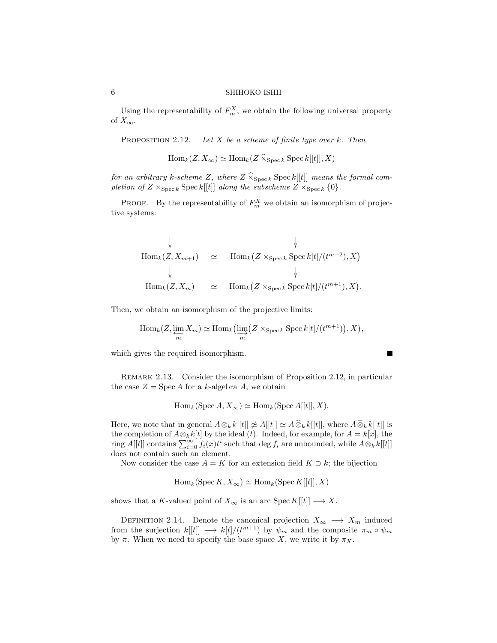Using the representability of  $F_m^X$ , we obtain the following universal property of  $X_{\infty}$ .

PROPOSITION 2.12. Let  $X$  be a scheme of finite type over  $k$ . Then

 $\text{Hom}_k(Z, X_\infty) \simeq \text{Hom}_k(Z \widehat{\times}_{\text{Spec } k} \text{Spec } k[[t]], X)$ 

for an arbitrary k-scheme Z, where  $Z \widehat{\times}_{\text{Spec } k} \text{Spec } k[[t]]$  means the formal completion of  $Z \times_{\text{Spec } k} \text{Spec } k[[t]]$  along the subscheme  $Z \times_{\text{Spec } k} \{0\}.$ 

**PROOF.** By the representability of  $F_m^X$  we obtain an isomorphism of projective systems:

$$
\begin{array}{rcl}\n\downarrow & & \downarrow \\
\text{Hom}_{k}(Z, X_{m+1}) & \simeq & \text{Hom}_{k}(Z \times_{\text{Spec } k} \text{Spec } k[t]/(t^{m+2}), X) \\
\downarrow & & \downarrow \\
\text{Hom}_{k}(Z, X_{m}) & \simeq & \text{Hom}_{k}(Z \times_{\text{Spec } k} \text{Spec } k[t]/(t^{m+1}), X).\n\end{array}
$$

Then, we obtain an isomorphism of the projective limits:

$$
\operatorname{Hom}_k(Z, \varprojlim_m X_m) \simeq \operatorname{Hom}_k(\varinjlim_m (Z \times_{\operatorname{Spec} k} \operatorname{Spec} k[t]/(t^{m+1})), X),
$$

which gives the required isomorphism.

REMARK 2.13. Consider the isomorphism of Proposition 2.12, in particular the case  $Z = \text{Spec } A$  for a k-algebra A, we obtain

$$
Hom_k(Spec A, X_{\infty}) \simeq Hom_k(Spec A[[t]], X).
$$

Here, we note that in general  $A \otimes_k k[[t]] \not\cong A[\hat{\otimes}_k k[[t]]$ , where  $A \hat{\otimes}_k k[[t]]$  is the completion of  $A \otimes_k k[t]$  by the ideal (t). Indeed, for example, for  $A = k[x]$ , the ring  $A[[t]]$  contains  $\sum_{i=0}^{\infty} f_i(x)t^i$  such that deg  $f_i$  are unbounded, while  $A \otimes_k k[[t]]$ does not contain such an element.

Now consider the case  $A = K$  for an extension field  $K \supset k$ ; the bijection

$$
\operatorname{Hom}_k(\operatorname{Spec} K, X_{\infty}) \simeq \operatorname{Hom}_k(\operatorname{Spec} K[[t]], X)
$$

shows that a K-valued point of  $X_{\infty}$  is an arc Spec  $K[[t]] \longrightarrow X$ .

DEFINITION 2.14. Denote the canonical projection  $X_{\infty} \longrightarrow X_m$  induced from the surjection  $k[[t]] \longrightarrow k[t]/(t^{m+1})$  by  $\psi_m$  and the composite  $\pi_m \circ \psi_m$ by  $\pi$ . When we need to specify the base space X, we write it by  $\pi_X$ .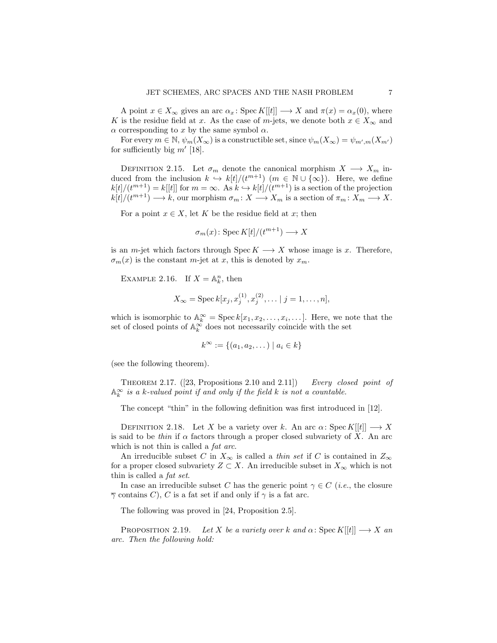A point  $x \in X_\infty$  gives an arc  $\alpha_x$ : Spec  $K[[t]] \longrightarrow X$  and  $\pi(x) = \alpha_x(0)$ , where K is the residue field at x. As the case of m-jets, we denote both  $x \in X_\infty$  and  $\alpha$  corresponding to x by the same symbol  $\alpha$ .

For every  $m \in \mathbb{N}$ ,  $\psi_m(X_\infty)$  is a constructible set, since  $\psi_m(X_\infty) = \psi_{m',m}(X_{m'})$ for sufficiently big  $m'$  [18].

DEFINITION 2.15. Let  $\sigma_m$  denote the canonical morphism  $X \longrightarrow X_m$  induced from the inclusion  $k \hookrightarrow k[t]/(t^{m+1})$   $(m \in \mathbb{N} \cup \{\infty\})$ . Here, we define  $k[t]/(t^{m+1}) = k[[t]]$  for  $m = \infty$ . As  $k \hookrightarrow k[t]/(t^{m+1})$  is a section of the projection  $k[t]/(t^{m+1}) \longrightarrow k$ , our morphism  $\sigma_m: X \longrightarrow X_m$  is a section of  $\pi_m: X_m \longrightarrow X$ .

For a point  $x \in X$ , let K be the residue field at x; then

$$
\sigma_m(x) \colon \operatorname{Spec} K[t]/(t^{m+1}) \longrightarrow X
$$

is an m-jet which factors through  $Spec K \longrightarrow X$  whose image is x. Therefore,  $\sigma_m(x)$  is the constant m-jet at x, this is denoted by  $x_m$ .

EXAMPLE 2.16. If  $X = \mathbb{A}_k^n$ , then

$$
X_{\infty} = \operatorname{Spec} k[x_j, x_j^{(1)}, x_j^{(2)}, \dots | j = 1, \dots, n],
$$

which is isomorphic to  $\mathbb{A}_{k}^{\infty} = \text{Spec } k[x_1, x_2, \ldots, x_i, \ldots]$ . Here, we note that the set of closed points of  $\mathbb{A}_{k}^{\infty}$  does not necessarily coincide with the set

$$
k^{\infty} := \{(a_1, a_2, \dots) \mid a_i \in k\}
$$

(see the following theorem).

THEOREM 2.17.  $([23, Propositions 2.10 and 2.11])$  Every closed point of  $\mathbb{A}_k^{\infty}$  is a k-valued point if and only if the field k is not a countable.

The concept "thin" in the following definition was first introduced in [12].

DEFINITION 2.18. Let X be a variety over k. An arc  $\alpha$ : Spec K[[t]]  $\longrightarrow X$ is said to be *thin* if  $\alpha$  factors through a proper closed subvariety of X. An arc which is not thin is called a *fat arc*.

An irreducible subset C in  $X_{\infty}$  is called a *thin set* if C is contained in  $Z_{\infty}$ for a proper closed subvariety  $Z \subset X$ . An irreducible subset in  $X_{\infty}$  which is not thin is called a fat set.

In case an irreducible subset C has the generic point  $\gamma \in C$  (*i.e.*, the closure  $\overline{\gamma}$  contains C), C is a fat set if and only if  $\gamma$  is a fat arc.

The following was proved in [24, Proposition 2.5].

PROPOSITION 2.19. Let X be a variety over k and  $\alpha$ : Spec K[[t]]  $\longrightarrow X$  and arc. Then the following hold: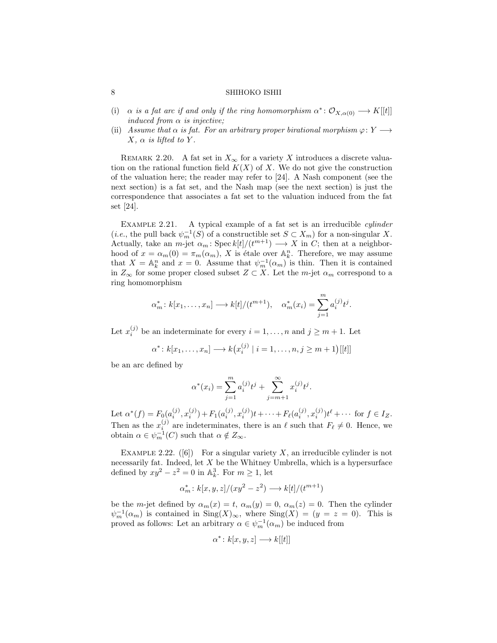- (i)  $\alpha$  is a fat arc if and only if the ring homomorphism  $\alpha^* : \mathcal{O}_{X,\alpha(0)} \longrightarrow K[[t]]$ induced from  $\alpha$  is injective;
- (ii) Assume that  $\alpha$  is fat. For an arbitrary proper birational morphism  $\varphi \colon Y \longrightarrow$  $X, \alpha$  is lifted to Y.

REMARK 2.20. A fat set in  $X_{\infty}$  for a variety X introduces a discrete valuation on the rational function field  $K(X)$  of X. We do not give the construction of the valuation here; the reader may refer to [24]. A Nash component (see the next section) is a fat set, and the Nash map (see the next section) is just the correspondence that associates a fat set to the valuation induced from the fat set [24].

EXAMPLE 2.21. A typical example of a fat set is an irreducible *cylinder* (*i.e.*, the pull back  $\psi_m^{-1}(S)$  of a constructible set  $S \subset X_m$ ) for a non-singular X. Actually, take an *m*-jet  $\alpha_m$ : Spec  $k[t]/(t^{m+1}) \longrightarrow X$  in C; then at a neighborhood of  $x = \alpha_m(0) = \pi_m(\alpha_m)$ , X is étale over  $\mathbb{A}_k^n$ . Therefore, we may assume that  $X = \mathbb{A}_k^n$  and  $x = 0$ . Assume that  $\psi_m^{-1}(\alpha_m)$  is thin. Then it is contained in  $Z_{\infty}$  for some proper closed subset  $Z \subset X$ . Let the m-jet  $\alpha_m$  correspond to a ring homomorphism

$$
\alpha_m^* : k[x_1, ..., x_n] \longrightarrow k[t]/(t^{m+1}), \quad \alpha_m^*(x_i) = \sum_{j=1}^m a_i^{(j)} t^j.
$$

Let  $x_i^{(j)}$  be an indeterminate for every  $i = 1, ..., n$  and  $j \ge m + 1$ . Let

$$
\alpha^* : k[x_1, ..., x_n] \longrightarrow k(x_i^{(j)} \mid i = 1, ..., n, j \ge m+1)[[t]]
$$

be an arc defined by

$$
\alpha^*(x_i) = \sum_{j=1}^m a_i^{(j)} t^j + \sum_{j=m+1}^\infty x_i^{(j)} t^j.
$$

Let  $\alpha^*(f) = F_0(a_i^{(j)}, x_i^{(j)}) + F_1(a_i^{(j)}, x_i^{(j)})t + \cdots + F_\ell(a_i^{(j)}, x_i^{(j)})t^{\ell} + \cdots$  for  $f \in I_Z$ . Then as the  $x_i^{(j)}$  are indeterminates, there is an  $\ell$  such that  $F_\ell \neq 0$ . Hence, we obtain  $\alpha \in \psi_m^{-1}(C)$  such that  $\alpha \notin Z_\infty$ .

EXAMPLE 2.22. ([6]) For a singular variety X, an irreducible cylinder is not necessarily fat. Indeed, let  $X$  be the Whitney Umbrella, which is a hypersurface defined by  $xy^2 - z^2 = 0$  in  $\mathbb{A}_k^3$ . For  $m \ge 1$ , let

$$
\alpha_m^* \colon k[x, y, z]/(xy^2 - z^2) \longrightarrow k[t]/(t^{m+1})
$$

be the m-jet defined by  $\alpha_m(x) = t$ ,  $\alpha_m(y) = 0$ ,  $\alpha_m(z) = 0$ . Then the cylinder  $\psi_m^{-1}(\alpha_m)$  is contained in  $\text{Sing}(X)_{\infty}$ , where  $\text{Sing}(X) = (y = z = 0)$ . This is proved as follows: Let an arbitrary  $\alpha \in \psi_m^{-1}(\alpha_m)$  be induced from

$$
\alpha^* \colon k[x, y, z] \longrightarrow k[[t]]
$$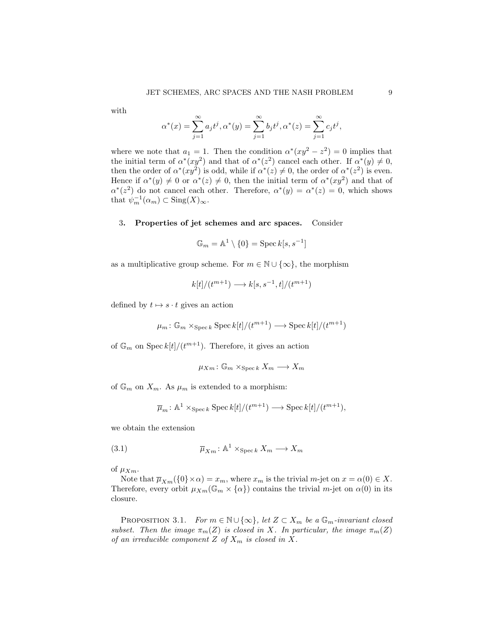with

$$
\alpha^*(x) = \sum_{j=1}^{\infty} a_j t^j, \alpha^*(y) = \sum_{j=1}^{\infty} b_j t^j, \alpha^*(z) = \sum_{j=1}^{\infty} c_j t^j,
$$

where we note that  $a_1 = 1$ . Then the condition  $\alpha^*(xy^2 - z^2) = 0$  implies that the initial term of  $\alpha^*(xy^2)$  and that of  $\alpha^*(z^2)$  cancel each other. If  $\alpha^*(y) \neq 0$ , then the order of  $\alpha^*(xy^2)$  is odd, while if  $\alpha^*(z) \neq 0$ , the order of  $\alpha^*(z^2)$  is even. Hence if  $\alpha^*(y) \neq 0$  or  $\alpha^*(z) \neq 0$ , then the initial term of  $\alpha^*(xy^2)$  and that of  $\alpha^{*}(z^2)$  do not cancel each other. Therefore,  $\alpha^{*}(y) = \alpha^{*}(z) = 0$ , which shows that  $\psi_m^{-1}(\alpha_m) \subset \text{Sing}(X)_{\infty}$ .

# 3. Properties of jet schemes and arc spaces. Consider

 $\mathbb{G}_m = \mathbb{A}^1 \setminus \{0\} = \operatorname{Spec} k[s,s^{-1}]$ 

as a multiplicative group scheme. For  $m \in \mathbb{N} \cup \{\infty\}$ , the morphism

$$
k[t]/(t^{m+1}) \longrightarrow k[s, s^{-1}, t]/(t^{m+1})
$$

defined by  $t \mapsto s \cdot t$  gives an action

$$
\mu_m \colon \mathbb{G}_m \times_{\operatorname{Spec} k} \operatorname{Spec} k[t]/(t^{m+1}) \longrightarrow \operatorname{Spec} k[t]/(t^{m+1})
$$

of  $\mathbb{G}_m$  on  $\mathrm{Spec}\, k[t]/(t^{m+1})$ . Therefore, it gives an action

 $\mu_{Xm} : \mathbb{G}_m \times_{\text{Spec } k} X_m \longrightarrow X_m$ 

of  $\mathbb{G}_m$  on  $X_m$ . As  $\mu_m$  is extended to a morphism:

$$
\overline{\mu}_m \colon \mathbb{A}^1 \times_{\operatorname{Spec} k} \operatorname{Spec} k[t]/(t^{m+1}) \longrightarrow \operatorname{Spec} k[t]/(t^{m+1}),
$$

we obtain the extension

(3.1) 
$$
\overline{\mu}_{Xm} : \mathbb{A}^1 \times_{\text{Spec } k} X_m \longrightarrow X_m
$$

of  $\mu_{Xm}$ .

Note that  $\overline{\mu}_{X_m}(\{0\}\times\alpha)=x_m$ , where  $x_m$  is the trivial  $m$ -jet on  $x=\alpha(0)\in X$ . Therefore, every orbit  $\mu_{Xm}(\mathbb{G}_m \times {\alpha})$  contains the trivial m-jet on  $\alpha(0)$  in its closure.

PROPOSITION 3.1. For  $m \in \mathbb{N} \cup \{\infty\}$ , let  $Z \subset X_m$  be a  $\mathbb{G}_m$ -invariant closed subset. Then the image  $\pi_m(Z)$  is closed in X. In particular, the image  $\pi_m(Z)$ of an irreducible component  $Z$  of  $X_m$  is closed in  $X$ .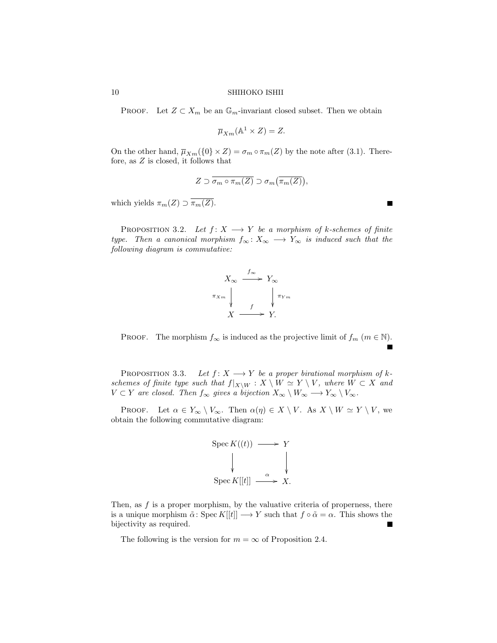PROOF. Let  $Z \subset X_m$  be an  $\mathbb{G}_m$ -invariant closed subset. Then we obtain

$$
\overline{\mu}_{Xm}(\mathbb{A}^1 \times Z) = Z.
$$

On the other hand,  $\overline{\mu}_{Xm}(\{0\}\times Z)=\sigma_m\circ\pi_m(Z)$  by the note after (3.1). Therefore, as Z is closed, it follows that

$$
Z \supset \overline{\sigma_m \circ \pi_m(Z)} \supset \sigma_m(\overline{\pi_m(Z)}),
$$

which yields  $\pi_m(Z) \supset \overline{\pi_m(Z)}$ .

PROPOSITION 3.2. Let  $f: X \longrightarrow Y$  be a morphism of k-schemes of finite type. Then a canonical morphism  $f_{\infty}: X_{\infty} \longrightarrow Y_{\infty}$  is induced such that the following diagram is commutative:



PROOF. The morphism  $f_{\infty}$  is induced as the projective limit of  $f_m$   $(m \in \mathbb{N})$ .

PROPOSITION 3.3. Let  $f: X \longrightarrow Y$  be a proper birational morphism of kschemes of finite type such that  $f|_{X\setminus W} : X \setminus W \simeq Y \setminus V$ , where  $W \subset X$  and  $V \subset Y$  are closed. Then  $f_{\infty}$  gives a bijection  $X_{\infty} \setminus W_{\infty} \longrightarrow Y_{\infty} \setminus V_{\infty}$ .

PROOF. Let  $\alpha \in Y_\infty \setminus V_\infty$ . Then  $\alpha(\eta) \in X \setminus V$ . As  $X \setminus W \simeq Y \setminus V$ , we obtain the following commutative diagram:



Then, as  $f$  is a proper morphism, by the valuative criteria of properness, there is a unique morphism  $\tilde{\alpha}$ : Spec  $K[[t]] \longrightarrow Y$  such that  $f \circ \tilde{\alpha} = \alpha$ . This shows the bijectivity as required.

The following is the version for  $m = \infty$  of Proposition 2.4.

 $\blacksquare$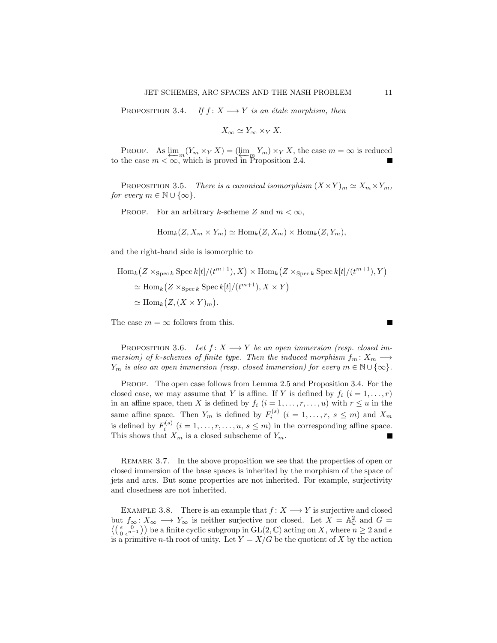PROPOSITION 3.4. If  $f: X \longrightarrow Y$  is an étale morphism, then

$$
X_{\infty} \simeq Y_{\infty} \times_Y X.
$$

PROOF. As  $\lim_{x \to \infty} (Y_m \times_Y X) = (\lim_{x \to \infty} Y_m) \times_Y X$ , the case  $m = \infty$  is reduced to the case  $m < \infty$ , which is proved in Proposition 2.4.

PROPOSITION 3.5. There is a canonical isomorphism  $(X \times Y)_m \simeq X_m \times Y_m$ , for every  $m \in \mathbb{N} \cup \{\infty\}.$ 

PROOF. For an arbitrary k-scheme Z and  $m < \infty$ ,

$$
Hom_k(Z, X_m \times Y_m) \simeq Hom_k(Z, X_m) \times Hom_k(Z, Y_m),
$$

and the right-hand side is isomorphic to

$$
\begin{aligned} \text{Hom}_{k}(Z \times_{\text{Spec } k} \text{Spec } k[t]/(t^{m+1}), X) \times \text{Hom}_{k}(Z \times_{\text{Spec } k} \text{Spec } k[t]/(t^{m+1}), Y) \\ &\simeq \text{Hom}_{k}(Z \times_{\text{Spec } k} \text{Spec } k[t]/(t^{m+1}), X \times Y) \\ &\simeq \text{Hom}_{k}(Z, (X \times Y)_{m}). \end{aligned}
$$

The case  $m = \infty$  follows from this.

PROPOSITION 3.6. Let  $f: X \longrightarrow Y$  be an open immersion (resp. closed immersion) of k-schemes of finite type. Then the induced morphism  $f_m: X_m \longrightarrow$  $Y_m$  is also an open immersion (resp. closed immersion) for every  $m \in \mathbb{N} \cup \{\infty\}.$ 

PROOF. The open case follows from Lemma 2.5 and Proposition 3.4. For the closed case, we may assume that Y is affine. If Y is defined by  $f_i$   $(i = 1, \ldots, r)$ in an affine space, then X is defined by  $f_i$   $(i = 1, \ldots, r, \ldots, u)$  with  $r \leq u$  in the same affine space. Then  $Y_m$  is defined by  $F_i^{(s)}$   $(i = 1, \ldots, r, s \leq m)$  and  $X_m$ is defined by  $F_i^{(s)}$   $(i = 1, ..., r, ..., u, s \leq m)$  in the corresponding affine space. This shows that  $X_m$  is a closed subscheme of  $Y_m$ .

REMARK 3.7. In the above proposition we see that the properties of open or closed immersion of the base spaces is inherited by the morphism of the space of jets and arcs. But some properties are not inherited. For example, surjectivity and closedness are not inherited.

EXAMPLE 3.8. There is an example that  $f: X \longrightarrow Y$  is surjective and closed but  $f_{\infty}: X_{\infty} \longrightarrow Y_{\infty}$  is neither surjective nor closed. Let  $X = \mathbb{A}_{\mathbb{C}}^2$  and  $G = \langle (\begin{array}{cc} 0 \\ 0 \end{array}) \rangle$  be a finite cyclic subgroup in GL(2  $\mathbb{C}$ ) acting on X where  $n \geq 2$  and  $\epsilon$  $\binom{\epsilon}{0} \binom{\epsilon}{0}$  be a finite cyclic subgroup in GL(2, C) acting on X, where  $n \geq 2$  and  $\epsilon$ is a primitive *n*-th root of unity. Let  $Y = X/G$  be the quotient of X by the action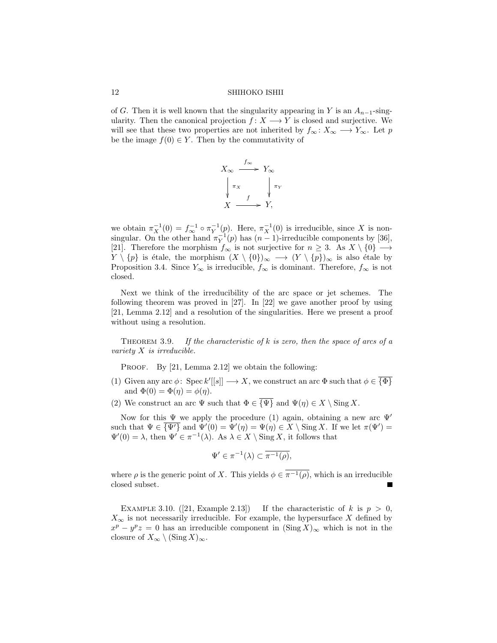of G. Then it is well known that the singularity appearing in Y is an  $A_{n-1}$ -singularity. Then the canonical projection  $f: X \longrightarrow Y$  is closed and surjective. We will see that these two properties are not inherited by  $f_{\infty}: X_{\infty} \longrightarrow Y_{\infty}$ . Let p be the image  $f(0) \in Y$ . Then by the commutativity of



we obtain  $\pi_X^{-1}(0) = f_{\infty}^{-1} \circ \pi_Y^{-1}(p)$ . Here,  $\pi_X^{-1}(0)$  is irreducible, since X is nonsingular. On the other hand  $\pi_Y^{-1}(p)$  has  $(n-1)$ -irreducible components by [36], [21]. Therefore the morphism  $f_{\infty}$  is not surjective for  $n \geq 3$ . As  $X \setminus \{0\} \longrightarrow$  $Y \setminus \{p\}$  is étale, the morphism  $(X \setminus \{0\})_{\infty} \longrightarrow (Y \setminus \{p\})_{\infty}$  is also étale by Proposition 3.4. Since  $Y_{\infty}$  is irreducible,  $f_{\infty}$  is dominant. Therefore,  $f_{\infty}$  is not closed.

Next we think of the irreducibility of the arc space or jet schemes. The following theorem was proved in [27]. In [22] we gave another proof by using [21, Lemma 2.12] and a resolution of the singularities. Here we present a proof without using a resolution.

THEOREM 3.9. If the characteristic of  $k$  is zero, then the space of arcs of a variety X is irreducible.

PROOF. By [21, Lemma 2.12] we obtain the following:

- (1) Given any arc  $\phi$ : Spec  $k'[[s]] \longrightarrow X$ , we construct an arc  $\Phi$  such that  $\phi \in {\overline{\{\Phi\}}}$ and  $\Phi(0) = \Phi(\eta) = \phi(\eta)$ .
- (2) We construct an arc  $\Psi$  such that  $\Phi \in \overline{\{\Psi\}}$  and  $\Psi(\eta) \in X \setminus \text{Sing } X$ .

Now for this  $\Psi$  we apply the procedure (1) again, obtaining a new arc  $\Psi'$ such that  $\Psi \in \overline{\{\Psi'\}}$  and  $\Psi'(0) = \Psi'(\eta) = \Psi(\eta) \in X \setminus \text{Sing } X$ . If we let  $\pi(\Psi') =$  $\Psi'(0) = \lambda$ , then  $\Psi' \in \pi^{-1}(\lambda)$ . As  $\lambda \in X \setminus \text{Sing } X$ , it follows that

$$
\Psi' \in \pi^{-1}(\lambda) \subset \overline{\pi^{-1}(\rho)},
$$

where  $\rho$  is the generic point of X. This yields  $\phi \in \overline{\pi^{-1}(\rho)}$ , which is an irreducible closed subset.

EXAMPLE 3.10. ([21, Example 2.13]) If the characteristic of k is  $p > 0$ ,  $X_{\infty}$  is not necessarily irreducible. For example, the hypersurface X defined by  $x^p - y^p z = 0$  has an irreducible component in  $(\text{Sing } X)_{\infty}$  which is not in the closure of  $X_{\infty} \setminus (\text{Sing } X)_{\infty}$ .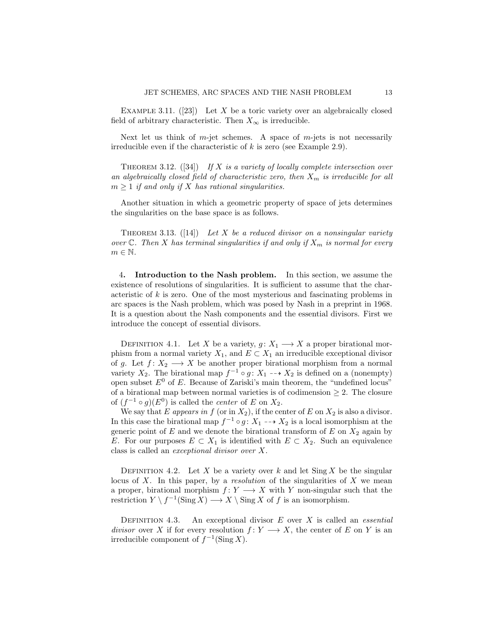EXAMPLE 3.11.  $([23])$  Let X be a toric variety over an algebraically closed field of arbitrary characteristic. Then  $X_{\infty}$  is irreducible.

Next let us think of  $m$ -jet schemes. A space of  $m$ -jets is not necessarily irreducible even if the characteristic of  $k$  is zero (see Example 2.9).

THEOREM 3.12.  $([34])$  If X is a variety of locally complete intersection over an algebraically closed field of characteristic zero, then  $X_m$  is irreducible for all  $m \geq 1$  if and only if X has rational singularities.

Another situation in which a geometric property of space of jets determines the singularities on the base space is as follows.

THEOREM 3.13.  $(14)$  Let X be a reduced divisor on a nonsingular variety over  $\mathbb{C}$ . Then X has terminal singularities if and only if  $X_m$  is normal for every  $m \in \mathbb{N}$ .

4. Introduction to the Nash problem. In this section, we assume the existence of resolutions of singularities. It is sufficient to assume that the characteristic of  $k$  is zero. One of the most mysterious and fascinating problems in arc spaces is the Nash problem, which was posed by Nash in a preprint in 1968. It is a question about the Nash components and the essential divisors. First we introduce the concept of essential divisors.

DEFINITION 4.1. Let X be a variety,  $g: X_1 \longrightarrow X$  a proper birational morphism from a normal variety  $X_1$ , and  $E \subset X_1$  an irreducible exceptional divisor of g. Let  $f: X_2 \longrightarrow X$  be another proper birational morphism from a normal variety  $X_2$ . The birational map  $f^{-1} \circ g: X_1 \dashrightarrow X_2$  is defined on a (nonempty) open subset  $E^0$  of E. Because of Zariski's main theorem, the "undefined locus" of a birational map between normal varieties is of codimension  $\geq 2$ . The closure of  $(f^{-1} \circ g)(E^0)$  is called the *center* of E on  $X_2$ .

We say that E appears in f (or in  $X_2$ ), if the center of E on  $X_2$  is also a divisor. In this case the birational map  $f^{-1} \circ g: X_1 \dashrightarrow X_2$  is a local isomorphism at the generic point of  $E$  and we denote the birational transform of  $E$  on  $X_2$  again by E. For our purposes  $E \subset X_1$  is identified with  $E \subset X_2$ . Such an equivalence class is called an exceptional divisor over X.

DEFINITION 4.2. Let X be a variety over k and let Sing X be the singular locus of  $X$ . In this paper, by a *resolution* of the singularities of  $X$  we mean a proper, birational morphism  $f: Y \longrightarrow X$  with Y non-singular such that the restriction  $Y \setminus f^{-1}(\text{Sing } X) \longrightarrow X \setminus \text{Sing } X$  of f is an isomorphism.

DEFINITION 4.3. An exceptional divisor  $E$  over  $X$  is called an *essential divisor* over X if for every resolution  $f: Y \longrightarrow X$ , the center of E on Y is an irreducible component of  $f^{-1}(\text{Sing } X)$ .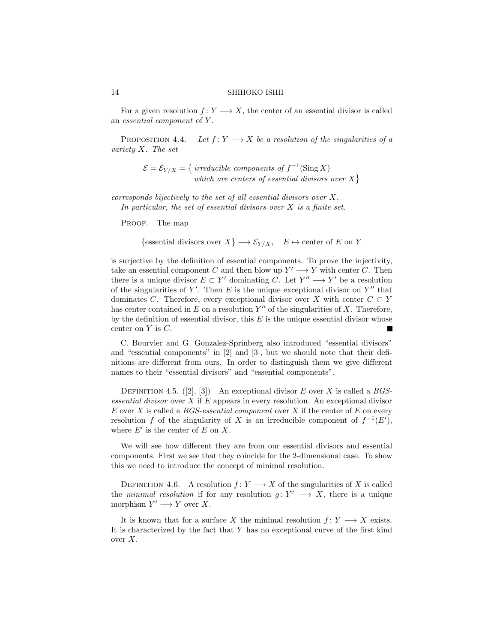For a given resolution  $f: Y \longrightarrow X$ , the center of an essential divisor is called an *essential component* of Y.

PROPOSITION 4.4. Let  $f: Y \longrightarrow X$  be a resolution of the singularities of a variety X. The set

$$
\mathcal{E} = \mathcal{E}_{Y/X} = \left\{ \begin{array}{c} \text{irreducible components of } f^{-1}(\text{Sing } X) \\ \text{which are centers of essential divisors over } X \end{array} \right\}
$$

corresponds bijectively to the set of all essential divisors over X. In particular, the set of essential divisors over  $X$  is a finite set.

PROOF. The map

 ${\rm \{essential \ divisors \ over \ } X\} \longrightarrow {\cal E}_{Y/X}, \quad E \mapsto {\rm center \ of \ } E \ {\rm on \ } Y$ 

is surjective by the definition of essential components. To prove the injectivity, take an essential component C and then blow up  $Y' \longrightarrow Y$  with center C. Then there is a unique divisor  $E \subset Y'$  dominating C. Let  $Y'' \longrightarrow Y'$  be a resolution of the singularities of  $Y'$ . Then E is the unique exceptional divisor on  $Y''$  that dominates C. Therefore, every exceptional divisor over X with center  $C \subset Y$ has center contained in  $E$  on a resolution  $Y''$  of the singularities of  $X$ . Therefore, by the definition of essential divisor, this  $E$  is the unique essential divisor whose center on  $Y$  is  $C$ .

C. Bourvier and G. Gonzalez-Sprinberg also introduced "essential divisors" and "essential components" in [2] and [3], but we should note that their definitions are different from ours. In order to distinguish them we give different names to their "essential divisors" and "essential components".

DEFINITION 4.5.  $([2], [3])$  An exceptional divisor E over X is called a BGSessential divisor over  $X$  if  $E$  appears in every resolution. An exceptional divisor E over X is called a  $BGS$ -essential component over X if the center of E on every resolution f of the singularity of X is an irreducible component of  $f^{-1}(E')$ , where  $E'$  is the center of  $E$  on  $X$ .

We will see how different they are from our essential divisors and essential components. First we see that they coincide for the 2-dimensional case. To show this we need to introduce the concept of minimal resolution.

DEFINITION 4.6. A resolution  $f: Y \longrightarrow X$  of the singularities of X is called the minimal resolution if for any resolution  $g: Y' \longrightarrow X$ , there is a unique morphism  $Y' \longrightarrow Y$  over X.

It is known that for a surface X the minimal resolution  $f: Y \longrightarrow X$  exists. It is characterized by the fact that  $Y$  has no exceptional curve of the first kind over X.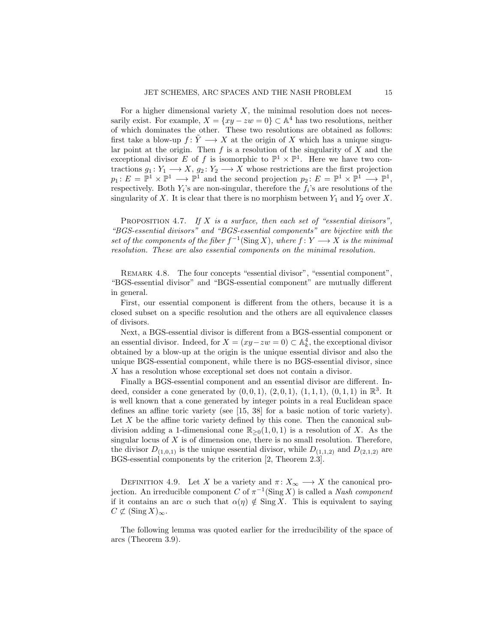For a higher dimensional variety  $X$ , the minimal resolution does not necessarily exist. For example,  $X = \{xy - zw = 0\} \subset \mathbb{A}^4$  has two resolutions, neither of which dominates the other. These two resolutions are obtained as follows: first take a blow-up  $f: \tilde{Y} \longrightarrow X$  at the origin of X which has a unique singular point at the origin. Then  $f$  is a resolution of the singularity of  $X$  and the exceptional divisor E of f is isomorphic to  $\mathbb{P}^1 \times \mathbb{P}^1$ . Here we have two contractions  $g_1: Y_1 \longrightarrow X$ ,  $g_2: Y_2 \longrightarrow X$  whose restrictions are the first projection  $p_1: E = \mathbb{P}^1 \times \mathbb{P}^1 \longrightarrow \mathbb{P}^1$  and the second projection  $p_2: E = \mathbb{P}^1 \times \mathbb{P}^1 \longrightarrow \mathbb{P}^1$ , respectively. Both  $Y_i$ 's are non-singular, therefore the  $f_i$ 's are resolutions of the singularity of X. It is clear that there is no morphism between  $Y_1$  and  $Y_2$  over X.

PROPOSITION 4.7. If X is a surface, then each set of "essential divisors", "BGS-essential divisors" and "BGS-essential components" are bijective with the set of the components of the fiber  $f^{-1}(\text{Sing }X)$ , where  $f: Y \longrightarrow X$  is the minimal resolution. These are also essential components on the minimal resolution.

REMARK 4.8. The four concepts "essential divisor", "essential component". "BGS-essential divisor" and "BGS-essential component" are mutually different in general.

First, our essential component is different from the others, because it is a closed subset on a specific resolution and the others are all equivalence classes of divisors.

Next, a BGS-essential divisor is different from a BGS-essential component or an essential divisor. Indeed, for  $X = (xy - zw = 0) \subset \mathbb{A}_k^4$ , the exceptional divisor obtained by a blow-up at the origin is the unique essential divisor and also the unique BGS-essential component, while there is no BGS-essential divisor, since X has a resolution whose exceptional set does not contain a divisor.

Finally a BGS-essential component and an essential divisor are different. Indeed, consider a cone generated by  $(0,0,1)$ ,  $(2,0,1)$ ,  $(1,1,1)$ ,  $(0,1,1)$  in  $\mathbb{R}^3$ . It is well known that a cone generated by integer points in a real Euclidean space defines an affine toric variety (see [15, 38] for a basic notion of toric variety). Let  $X$  be the affine toric variety defined by this cone. Then the canonical subdivision adding a 1-dimensional cone  $\mathbb{R}_{\geq 0}(1, 0, 1)$  is a resolution of X. As the singular locus of  $X$  is of dimension one, there is no small resolution. Therefore, the divisor  $D_{(1,0,1)}$  is the unique essential divisor, while  $D_{(1,1,2)}$  and  $D_{(2,1,2)}$  are BGS-essential components by the criterion [2, Theorem 2.3].

DEFINITION 4.9. Let X be a variety and  $\pi: X_{\infty} \longrightarrow X$  the canonical projection. An irreducible component C of  $\pi^{-1}(\text{Sing } X)$  is called a Nash component if it contains an arc  $\alpha$  such that  $\alpha(\eta) \notin \text{Sing } X$ . This is equivalent to saying  $C \not\subset (\text{Sing } X)_{\infty}.$ 

The following lemma was quoted earlier for the irreducibility of the space of arcs (Theorem 3.9).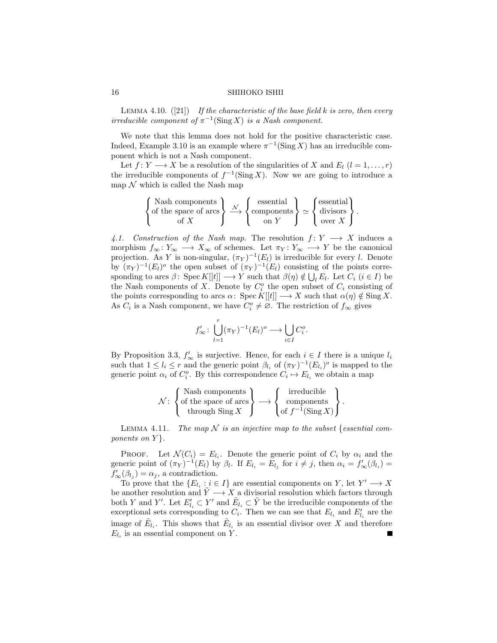LEMMA 4.10.  $([21])$  If the characteristic of the base field k is zero, then every irreducible component of  $\pi^{-1}(\text{Sing } X)$  is a Nash component.

We note that this lemma does not hold for the positive characteristic case. Indeed, Example 3.10 is an example where  $\pi^{-1}(\text{Sing } X)$  has an irreducible component which is not a Nash component.

Let  $f: Y \longrightarrow X$  be a resolution of the singularities of X and  $E_l$   $(l = 1, \ldots, r)$ the irreducible components of  $f^{-1}(\text{Sing } X)$ . Now we are going to introduce a map  $\mathcal N$  which is called the Nash map

$$
\left\{\begin{matrix}\text{Nash components} \\ \text{of the space of arcs} \\ \text{of } X\end{matrix}\right\} \xrightarrow{\mathcal{N}} \left\{\begin{matrix}\text{essential} \\ \text{components} \\ \text{on } Y\end{matrix}\right\} \simeq \left\{\begin{matrix}\text{essential} \\ \text{divisors} \\ \text{over } X\end{matrix}\right\}.
$$

4.1. Construction of the Nash map. The resolution  $f: Y \longrightarrow X$  induces a morphism  $f_{\infty} : Y_{\infty} \longrightarrow X_{\infty}$  of schemes. Let  $\pi_Y : Y_{\infty} \longrightarrow Y$  be the canonical projection. As Y is non-singular,  $(\pi_Y)^{-1}(E_l)$  is irreducible for every l. Denote by  $(\pi_Y)^{-1}(E_l)$ <sup>o</sup> the open subset of  $(\pi_Y)^{-1}(E_l)$  consisting of the points corresponding to arcs  $\beta$ : Spec  $K[[t]] \longrightarrow Y$  such that  $\beta(\eta) \notin \bigcup_{l} E_l$ . Let  $C_i$   $(i \in I)$  be the Nash components of X. Denote by  $C_i^o$  the open subset of  $C_i$  consisting of the points corresponding to arcs  $\alpha$ : Spec  $K[[t]] \longrightarrow X$  such that  $\alpha(\eta) \notin \text{Sing } X$ . As  $C_i$  is a Nash component, we have  $C_i^o \neq \emptyset$ . The restriction of  $f_{\infty}$  gives

$$
f'_{\infty} : \bigcup_{l=1}^r (\pi_Y)^{-1}(E_l)^o \longrightarrow \bigcup_{i \in I} C_i^o.
$$

By Proposition 3.3,  $f'_{\infty}$  is surjective. Hence, for each  $i \in I$  there is a unique  $l_i$ such that  $1 \leq l_i \leq r$  and the generic point  $\beta_{l_i}$  of  $(\pi_Y)^{-1}(E_{l_i})^o$  is mapped to the generic point  $\alpha_i$  of  $C_i^o$ . By this correspondence  $C_i \mapsto E_{l_i}$  we obtain a map

$$
\mathcal{N}\colon\left\{\begin{matrix} \text{Nash components}\\ \text{of the space of arcs}\\ \text{through Sing }X \end{matrix}\right\}\longrightarrow\left\{\begin{matrix} \text{irreducible}\\ \text{components}\\ \text{of }f^{-1}(\text{Sing }X) \end{matrix}\right\}.
$$

LEMMA 4.11. The map  $N$  is an injective map to the subset {essential components on  $Y$ .

**PROOF.** Let  $\mathcal{N}(C_i) = E_{l_i}$ . Denote the generic point of  $C_i$  by  $\alpha_i$  and the generic point of  $(\pi_Y)^{-1}(E_l)$  by  $\beta_l$ . If  $E_{l_i} = E_{l_j}$  for  $i \neq j$ , then  $\alpha_i = f'_{\infty}(\beta_{l_i}) =$  $f'_{\infty}(\beta_{l_j}) = \alpha_j$ , a contradiction.

To prove that the  $\{E_{l_i} : i \in I\}$  are essential components on Y, let  $Y' \longrightarrow X$ be another resolution and  $\tilde{Y} \longrightarrow X$  a divisorial resolution which factors through both Y and Y'. Let  $E'_{l_i} \subset Y'$  and  $\tilde{E}_{l_i} \subset \tilde{Y}$  be the irreducible components of the exceptional sets corresponding to  $C_i$ . Then we can see that  $E_{l_i}$  and  $E'_{l_i}$  are the image of  $\tilde{E}_{l_i}$ . This shows that  $\tilde{E}_{l_i}$  is an essential divisor over X and therefore  $E_{l_i}$  is an essential component on Y.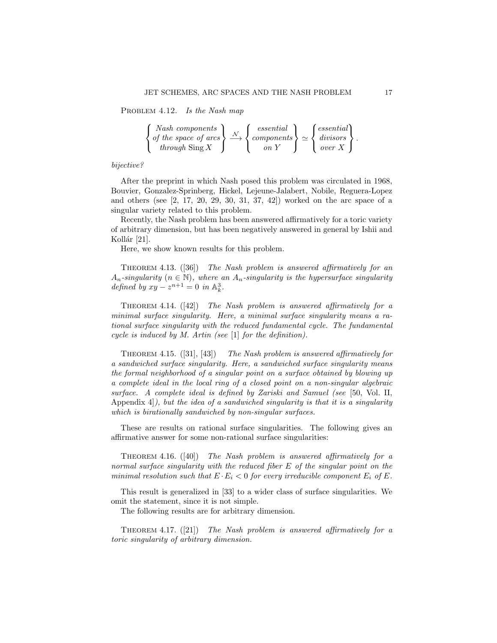PROBLEM 4.12. Is the Nash map

$$
\begin{Bmatrix} Nash\ components\\ of\ the\ space\ of\ arcs\\ through\ Sing\ X\end{Bmatrix} \xrightarrow{\mathcal{N}} \begin{Bmatrix} essential\\ components\\ on\ Y\end{Bmatrix} \simeq \begin{Bmatrix} essential\\ divisors\\ over\ X\end{Bmatrix}.
$$

# bijective?

After the preprint in which Nash posed this problem was circulated in 1968, Bouvier, Gonzalez-Sprinberg, Hickel, Lejeune-Jalabert, Nobile, Reguera-Lopez and others (see [2, 17, 20, 29, 30, 31, 37, 42]) worked on the arc space of a singular variety related to this problem.

Recently, the Nash problem has been answered affirmatively for a toric variety of arbitrary dimension, but has been negatively answered in general by Ishii and Kollár  $[21]$ .

Here, we show known results for this problem.

THEOREM 4.13. ([36]) The Nash problem is answered affirmatively for an  $A_n$ -singularity  $(n \in \mathbb{N})$ , where an  $A_n$ -singularity is the hypersurface singularity defined by  $xy - z^{n+1} = 0$  in  $\mathbb{A}_k^3$ .

THEOREM 4.14.  $(42)$  The Nash problem is answered affirmatively for a minimal surface singularity. Here, a minimal surface singularity means a rational surface singularity with the reduced fundamental cycle. The fundamental cycle is induced by M. Artin (see [1] for the definition).

Theorem 4.15. ([31], [43]) The Nash problem is answered affirmatively for a sandwiched surface singularity. Here, a sandwiched surface singularity means the formal neighborhood of a singular point on a surface obtained by blowing up a complete ideal in the local ring of a closed point on a non-singular algebraic surface. A complete ideal is defined by Zariski and Samuel (see [50, Vol. II, Appendix 4. but the idea of a sandwiched singularity is that it is a singularity which is birationally sandwiched by non-singular surfaces.

These are results on rational surface singularities. The following gives an affirmative answer for some non-rational surface singularities:

THEOREM 4.16.  $([40])$  The Nash problem is answered affirmatively for a normal surface singularity with the reduced fiber E of the singular point on the minimal resolution such that  $E \cdot E_i < 0$  for every irreducible component  $E_i$  of  $E$ .

This result is generalized in [33] to a wider class of surface singularities. We omit the statement, since it is not simple.

The following results are for arbitrary dimension.

THEOREM 4.17.  $([21])$  The Nash problem is answered affirmatively for a toric singularity of arbitrary dimension.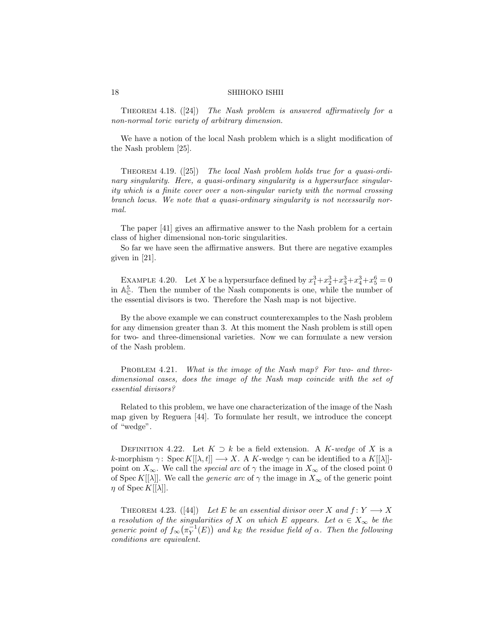THEOREM 4.18.  $([24])$  The Nash problem is answered affirmatively for a non-normal toric variety of arbitrary dimension.

We have a notion of the local Nash problem which is a slight modification of the Nash problem [25].

THEOREM 4.19.  $([25])$  The local Nash problem holds true for a quasi-ordinary singularity. Here, a quasi-ordinary singularity is a hypersurface singularity which is a finite cover over a non-singular variety with the normal crossing branch locus. We note that a quasi-ordinary singularity is not necessarily normal.

The paper [41] gives an affirmative answer to the Nash problem for a certain class of higher dimensional non-toric singularities.

So far we have seen the affirmative answers. But there are negative examples given in [21].

EXAMPLE 4.20. Let X be a hypersurface defined by  $x_1^3 + x_2^3 + x_3^3 + x_4^3 + x_5^6 = 0$ in  $\mathbb{A}_{\mathbb{C}}^5$ . Then the number of the Nash components is one, while the number of the essential divisors is two. Therefore the Nash map is not bijective.

By the above example we can construct counterexamples to the Nash problem for any dimension greater than 3. At this moment the Nash problem is still open for two- and three-dimensional varieties. Now we can formulate a new version of the Nash problem.

PROBLEM 4.21. What is the image of the Nash map? For two- and threedimensional cases, does the image of the Nash map coincide with the set of essential divisors?

Related to this problem, we have one characterization of the image of the Nash map given by Reguera [44]. To formulate her result, we introduce the concept of "wedge".

DEFINITION 4.22. Let  $K \supset k$  be a field extension. A K-wedge of X is a k-morphism  $\gamma$ : Spec  $K[[\lambda, t]] \longrightarrow X$ . A K-wedge  $\gamma$  can be identified to a  $K[[\lambda]]$ point on  $X_{\infty}$ . We call the *special arc* of  $\gamma$  the image in  $X_{\infty}$  of the closed point 0 of Spec K[[ $\lambda$ ]. We call the *generic arc* of  $\gamma$  the image in  $X_{\infty}$  of the generic point  $\eta$  of Spec K[[ $\lambda$ ].

THEOREM 4.23. ([44]) Let E be an essential divisor over X and  $f: Y \longrightarrow X$ a resolution of the singularities of X on which E appears. Let  $\alpha \in X_{\infty}$  be the generic point of  $f_{\infty}(\pi_Y^{-1}(E))$  and  $k_E$  the residue field of  $\alpha$ . Then the following conditions are equivalent.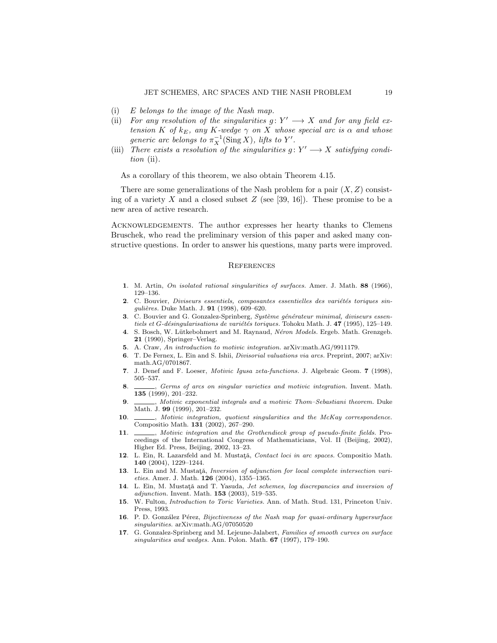- (i) E belongs to the image of the Nash map.
- (ii) For any resolution of the singularities  $g: Y' \longrightarrow X$  and for any field extension K of  $k_E$ , any K-wedge  $\gamma$  on X whose special arc is  $\alpha$  and whose generic arc belongs to  $\pi_X^{-1}(\text{Sing }X)$ , lifts to Y'.
- (iii) There exists a resolution of the singularities  $g: Y' \longrightarrow X$  satisfying condition (ii).

As a corollary of this theorem, we also obtain Theorem 4.15.

There are some generalizations of the Nash problem for a pair  $(X, Z)$  consisting of a variety X and a closed subset  $Z$  (see [39, 16]). These promise to be a new area of active research.

Acknowledgements. The author expresses her hearty thanks to Clemens Bruschek, who read the preliminary version of this paper and asked many constructive questions. In order to answer his questions, many parts were improved.

#### **REFERENCES**

- 1. M. Artin, On isolated rational singularities of surfaces. Amer. J. Math. 88 (1966), 129–136.
- 2. C. Bouvier, Diviseurs essentiels, composantes essentielles des variétés toriques singulières. Duke Math. J. 91 (1998), 609-620.
- 3. C. Bouvier and G. Gonzalez-Sprinberg, Système générateur minimal, diviseurs essentiels et  $G$ -désingularisations de variétés toriques. Tohoku Math. J. 47 (1995), 125–149.
- 4. S. Bosch, W. Lütkebohmert and M. Raynaud, Néron Models. Ergeb. Math. Grenzgeb. 21 (1990), Springer–Verlag.
- 5. A. Craw, An introduction to motivic integration. arXiv:math.AG/9911179.
- 6. T. De Fernex, L. Ein and S. Ishii, Divisorial valuations via arcs. Preprint, 2007; arXiv: math.AG/0701867.
- 7. J. Denef and F. Loeser, Motivic Igusa zeta-functions. J. Algebraic Geom. 7 (1998), 505–537.
- 8. Germs of arcs on singular varieties and motivic integration. Invent. Math. 135 (1999), 201–232.
- 9.  $\_\_\_\_\_\$  Motivic exponential integrals and a motivic Thom–Sebastiani theorem. Duke Math. J. 99 (1999), 201–232.
- 10. \_\_\_\_, Motivic integration, quotient singularities and the McKay correspondence. Compositio Math. 131 (2002), 267–290.
- 11.  $\_\_\_\_\$  Motivic integration and the Grothendieck group of pseudo-finite fields. Proceedings of the International Congress of Mathematicians, Vol. II (Beijing, 2002), Higher Ed. Press, Beijing, 2002, 13–23.
- 12. L. Ein, R. Lazarsfeld and M. Mustata, Contact loci in arc spaces. Compositio Math. 140 (2004), 1229–1244.
- 13. L. Ein and M. Mustată, Inversion of adjunction for local complete intersection varieties. Amer. J. Math. 126 (2004), 1355–1365.
- 14. L. Ein, M. Mustată and T. Yasuda, Jet schemes, log discrepancies and inversion of adjunction. Invent. Math. 153 (2003), 519–535.
- 15. W. Fulton, Introduction to Toric Varieties. Ann. of Math. Stud. 131, Princeton Univ. Press, 1993.
- 16. P. D. González Pérez, Bijectiveness of the Nash map for quasi-ordinary hypersurface singularities. arXiv:math.AG/07050520
- 17. G. Gonzalez-Sprinberg and M. Lejeune-Jalabert, Families of smooth curves on surface singularities and wedges. Ann. Polon. Math. 67 (1997), 179-190.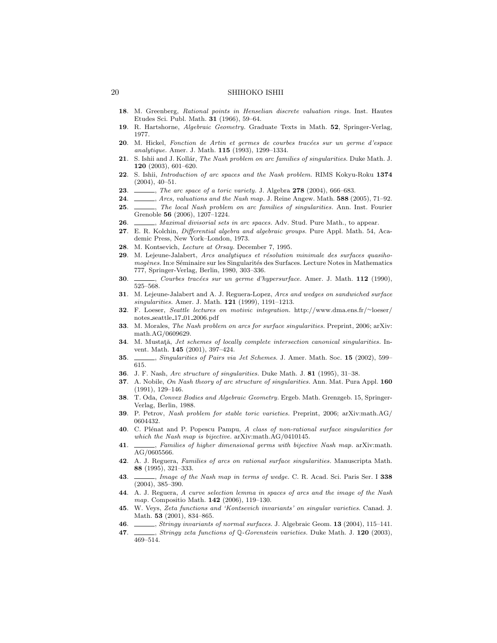- 18. M. Greenberg, Rational points in Henselian discrete valuation rings. Inst. Hautes Etudes Sci. Publ. Math. 31 (1966), 59–64.
- 19. R. Hartshorne, Algebraic Geometry. Graduate Texts in Math. 52, Springer-Verlag, 1977.
- $20.$  M. Hickel, Fonction de Artin et germes de courbes tracées sur un germe d'espace analytique. Amer. J. Math. 115 (1993), 1299–1334.
- 21. S. Ishii and J. Kollár, The Nash problem on arc families of singularities. Duke Math. J. 120 (2003), 601–620.
- 22. S. Ishii, Introduction of arc spaces and the Nash problem. RIMS Kokyu-Roku 1374 (2004), 40–51.
- **23**. *Interacted a toric variety.* J. Algebra 278 (2004), 666–683.
- 24.  $\mu$ , Arcs, valuations and the Nash map. J. Reine Angew. Math. 588 (2005), 71–92.
- 25. , The local Nash problem on arc families of singularities. Ann. Inst. Fourier Grenoble 56 (2006), 1207–1224.
- 26. , Maximal divisorial sets in arc spaces. Adv. Stud. Pure Math., to appear.
- 27. E. R. Kolchin, Differential algebra and algebraic groups. Pure Appl. Math. 54, Academic Press, New York–London, 1973.
- 28. M. Kontsevich, Lecture at Orsay. December 7, 1995.
- 29. M. Lejeune-Jalabert, Arcs analytiques et résolution minimale des surfaces quasihomogènes. In:e Séminaire sur les Singularités des Surfaces. Lecture Notes in Mathematics 777, Springer-Verlag, Berlin, 1980, 303–336.
- 30.  $\_\_\_\_\_\_\_\_\_\_\_\_\_\_\.\_$ Courbes tracées sur un germe d'hypersurface. Amer. J. Math. 112 (1990), 525–568.
- 31. M. Lejeune-Jalabert and A. J. Reguera-Lopez, Arcs and wedges on sandwiched surface singularities. Amer. J. Math. 121 (1999), 1191–1213.
- 32. F. Loeser, Seattle lectures on motivic integration. http://www.dma.ens.fr/∼loeser/ notes seattle 17 01 2006.pdf
- 33. M. Morales, The Nash problem on arcs for surface singularities. Preprint, 2006; arXiv: math.AG/0609629.
- 34. M. Mustată, Jet schemes of locally complete intersection canonical singularities. Invent. Math. 145 (2001), 397–424.
- 35. Singularities of Pairs via Jet Schemes. J. Amer. Math. Soc. 15 (2002), 599– 615.
- 36. J. F. Nash, Arc structure of singularities. Duke Math. J. 81 (1995), 31–38.
- 37. A. Nobile, On Nash theory of arc structure of singularities. Ann. Mat. Pura Appl. 160 (1991), 129–146.
- 38. T. Oda, Convex Bodies and Algebraic Geometry. Ergeb. Math. Grenzgeb. 15, Springer-Verlag, Berlin, 1988.
- 39. P. Petrov, Nash problem for stable toric varieties. Preprint, 2006; arXiv:math.AG/ 0604432.
- 40. C. Plénat and P. Popescu Pampu, A class of non-rational surface singularities for which the Nash map is bijective. arXiv:math.AG/0410145.
- 41.  $\_\_\_\_\$  Families of higher dimensional germs with bijective Nash map. arXiv:math. AG/0605566.
- 42. A. J. Reguera, Families of arcs on rational surface singularities. Manuscripta Math. 88 (1995), 321–333.
- 43. *Image of the Nash map in terms of wedge.* C. R. Acad. Sci. Paris Ser. I 338 (2004), 385–390.
- 44. A. J. Reguera, A curve selection lemma in spaces of arcs and the image of the Nash map. Compositio Math. **142** (2006), 119-130.
- 45. W. Veys, Zeta functions and 'Kontsevich invariants' on singular varieties. Canad. J. Math. **53** (2001), 834–865.
- 46. , Stringy invariants of normal surfaces. J. Algebraic Geom. 13 (2004), 115–141.
- 47. , Stringy zeta functions of Q-Gorenstein varieties. Duke Math. J. 120 (2003), 469–514.